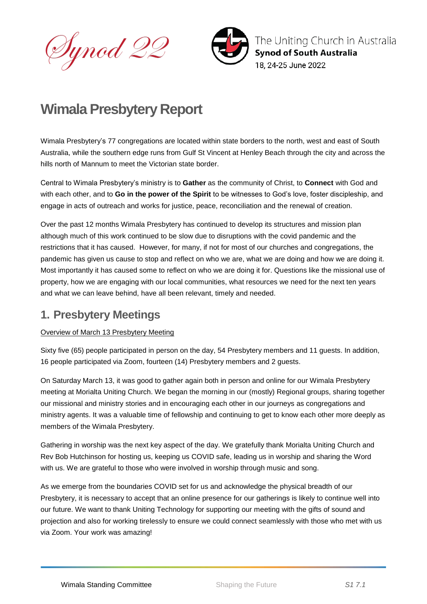Synod 22



The Uniting Church in Australia **Synod of South Australia** 18. 24-25 June 2022

# **Wimala Presbytery Report**

Wimala Presbytery's 77 congregations are located within state borders to the north, west and east of South Australia, while the southern edge runs from Gulf St Vincent at Henley Beach through the city and across the hills north of Mannum to meet the Victorian state border.

Central to Wimala Presbytery's ministry is to **Gather** as the community of Christ, to **Connect** with God and with each other, and to **Go in the power of the Spirit** to be witnesses to God's love, foster discipleship, and engage in acts of outreach and works for justice, peace, reconciliation and the renewal of creation.

Over the past 12 months Wimala Presbytery has continued to develop its structures and mission plan although much of this work continued to be slow due to disruptions with the covid pandemic and the restrictions that it has caused. However, for many, if not for most of our churches and congregations, the pandemic has given us cause to stop and reflect on who we are, what we are doing and how we are doing it. Most importantly it has caused some to reflect on who we are doing it for. Questions like the missional use of property, how we are engaging with our local communities, what resources we need for the next ten years and what we can leave behind, have all been relevant, timely and needed.

## **1. Presbytery Meetings**

### Overview of March 13 Presbytery Meeting

Sixty five (65) people participated in person on the day, 54 Presbytery members and 11 guests. In addition, 16 people participated via Zoom, fourteen (14) Presbytery members and 2 guests.

On Saturday March 13, it was good to gather again both in person and online for our Wimala Presbytery meeting at Morialta Uniting Church. We began the morning in our (mostly) Regional groups, sharing together our missional and ministry stories and in encouraging each other in our journeys as congregations and ministry agents. It was a valuable time of fellowship and continuing to get to know each other more deeply as members of the Wimala Presbytery.

Gathering in worship was the next key aspect of the day. We gratefully thank Morialta Uniting Church and Rev Bob Hutchinson for hosting us, keeping us COVID safe, leading us in worship and sharing the Word with us. We are grateful to those who were involved in worship through music and song.

As we emerge from the boundaries COVID set for us and acknowledge the physical breadth of our Presbytery, it is necessary to accept that an online presence for our gatherings is likely to continue well into our future. We want to thank Uniting Technology for supporting our meeting with the gifts of sound and projection and also for working tirelessly to ensure we could connect seamlessly with those who met with us via Zoom. Your work was amazing!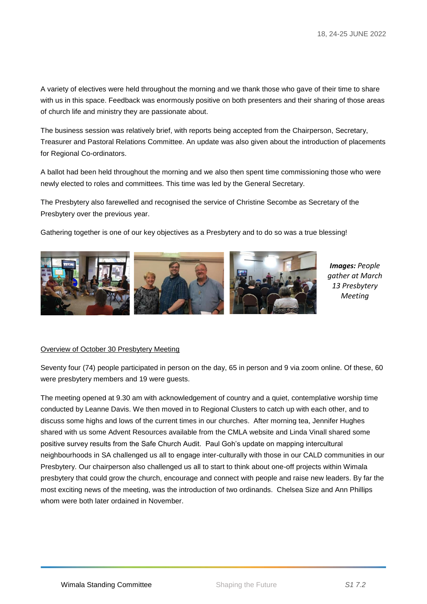A variety of electives were held throughout the morning and we thank those who gave of their time to share with us in this space. Feedback was enormously positive on both presenters and their sharing of those areas of church life and ministry they are passionate about.

The business session was relatively brief, with reports being accepted from the Chairperson, Secretary, Treasurer and Pastoral Relations Committee. An update was also given about the introduction of placements for Regional Co-ordinators.

A ballot had been held throughout the morning and we also then spent time commissioning those who were newly elected to roles and committees. This time was led by the General Secretary.

The Presbytery also farewelled and recognised the service of Christine Secombe as Secretary of the Presbytery over the previous year.

Gathering together is one of our key objectives as a Presbytery and to do so was a true blessing!



*Images: People gather at March 13 Presbytery Meeting*

#### Overview of October 30 Presbytery Meeting

Seventy four (74) people participated in person on the day, 65 in person and 9 via zoom online. Of these, 60 were presbytery members and 19 were guests.

The meeting opened at 9.30 am with acknowledgement of country and a quiet, contemplative worship time conducted by Leanne Davis. We then moved in to Regional Clusters to catch up with each other, and to discuss some highs and lows of the current times in our churches. After morning tea, Jennifer Hughes shared with us some Advent Resources available from the CMLA website and Linda Vinall shared some positive survey results from the Safe Church Audit. Paul Goh's update on mapping intercultural neighbourhoods in SA challenged us all to engage inter-culturally with those in our CALD communities in our Presbytery. Our chairperson also challenged us all to start to think about one-off projects within Wimala presbytery that could grow the church, encourage and connect with people and raise new leaders. By far the most exciting news of the meeting, was the introduction of two ordinands. Chelsea Size and Ann Phillips whom were both later ordained in November.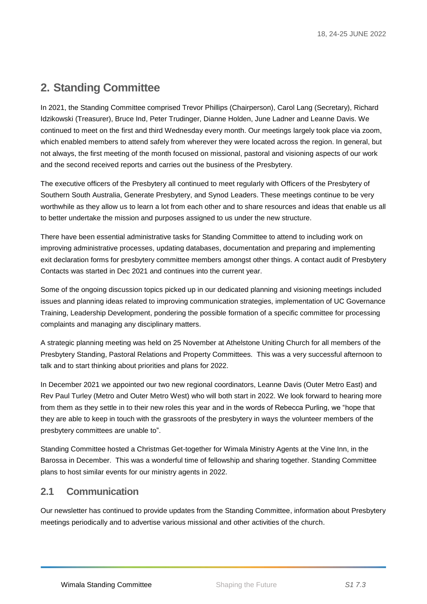## **2. Standing Committee**

In 2021, the Standing Committee comprised Trevor Phillips (Chairperson), Carol Lang (Secretary), Richard Idzikowski (Treasurer), Bruce Ind, Peter Trudinger, Dianne Holden, June Ladner and Leanne Davis. We continued to meet on the first and third Wednesday every month. Our meetings largely took place via zoom, which enabled members to attend safely from wherever they were located across the region. In general, but not always, the first meeting of the month focused on missional, pastoral and visioning aspects of our work and the second received reports and carries out the business of the Presbytery.

The executive officers of the Presbytery all continued to meet regularly with Officers of the Presbytery of Southern South Australia, Generate Presbytery, and Synod Leaders. These meetings continue to be very worthwhile as they allow us to learn a lot from each other and to share resources and ideas that enable us all to better undertake the mission and purposes assigned to us under the new structure.

There have been essential administrative tasks for Standing Committee to attend to including work on improving administrative processes, updating databases, documentation and preparing and implementing exit declaration forms for presbytery committee members amongst other things. A contact audit of Presbytery Contacts was started in Dec 2021 and continues into the current year.

Some of the ongoing discussion topics picked up in our dedicated planning and visioning meetings included issues and planning ideas related to improving communication strategies, implementation of UC Governance Training, Leadership Development, pondering the possible formation of a specific committee for processing complaints and managing any disciplinary matters.

A strategic planning meeting was held on 25 November at Athelstone Uniting Church for all members of the Presbytery Standing, Pastoral Relations and Property Committees. This was a very successful afternoon to talk and to start thinking about priorities and plans for 2022.

In December 2021 we appointed our two new regional coordinators, Leanne Davis (Outer Metro East) and Rev Paul Turley (Metro and Outer Metro West) who will both start in 2022. We look forward to hearing more from them as they settle in to their new roles this year and in the words of Rebecca Purling, we "hope that they are able to keep in touch with the grassroots of the presbytery in ways the volunteer members of the presbytery committees are unable to".

Standing Committee hosted a Christmas Get-together for Wimala Ministry Agents at the Vine Inn, in the Barossa in December. This was a wonderful time of fellowship and sharing together. Standing Committee plans to host similar events for our ministry agents in 2022.

### **2.1 Communication**

Our newsletter has continued to provide updates from the Standing Committee, information about Presbytery meetings periodically and to advertise various missional and other activities of the church.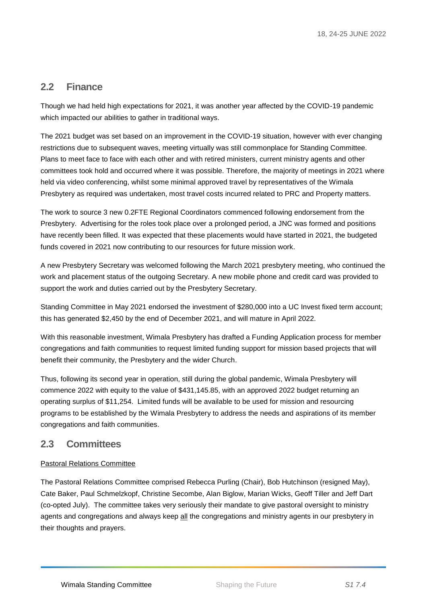### **2.2 Finance**

Though we had held high expectations for 2021, it was another year affected by the COVID-19 pandemic which impacted our abilities to gather in traditional ways.

The 2021 budget was set based on an improvement in the COVID-19 situation, however with ever changing restrictions due to subsequent waves, meeting virtually was still commonplace for Standing Committee. Plans to meet face to face with each other and with retired ministers, current ministry agents and other committees took hold and occurred where it was possible. Therefore, the majority of meetings in 2021 where held via video conferencing, whilst some minimal approved travel by representatives of the Wimala Presbytery as required was undertaken, most travel costs incurred related to PRC and Property matters.

The work to source 3 new 0.2FTE Regional Coordinators commenced following endorsement from the Presbytery. Advertising for the roles took place over a prolonged period, a JNC was formed and positions have recently been filled. It was expected that these placements would have started in 2021, the budgeted funds covered in 2021 now contributing to our resources for future mission work.

A new Presbytery Secretary was welcomed following the March 2021 presbytery meeting, who continued the work and placement status of the outgoing Secretary. A new mobile phone and credit card was provided to support the work and duties carried out by the Presbytery Secretary.

Standing Committee in May 2021 endorsed the investment of \$280,000 into a UC Invest fixed term account; this has generated \$2,450 by the end of December 2021, and will mature in April 2022.

With this reasonable investment, Wimala Presbytery has drafted a Funding Application process for member congregations and faith communities to request limited funding support for mission based projects that will benefit their community, the Presbytery and the wider Church.

Thus, following its second year in operation, still during the global pandemic, Wimala Presbytery will commence 2022 with equity to the value of \$431,145.85, with an approved 2022 budget returning an operating surplus of \$11,254. Limited funds will be available to be used for mission and resourcing programs to be established by the Wimala Presbytery to address the needs and aspirations of its member congregations and faith communities.

### **2.3 Committees**

#### Pastoral Relations Committee

The Pastoral Relations Committee comprised Rebecca Purling (Chair), Bob Hutchinson (resigned May), Cate Baker, Paul Schmelzkopf, Christine Secombe, Alan Biglow, Marian Wicks, Geoff Tiller and Jeff Dart (co-opted July). The committee takes very seriously their mandate to give pastoral oversight to ministry agents and congregations and always keep all the congregations and ministry agents in our presbytery in their thoughts and prayers.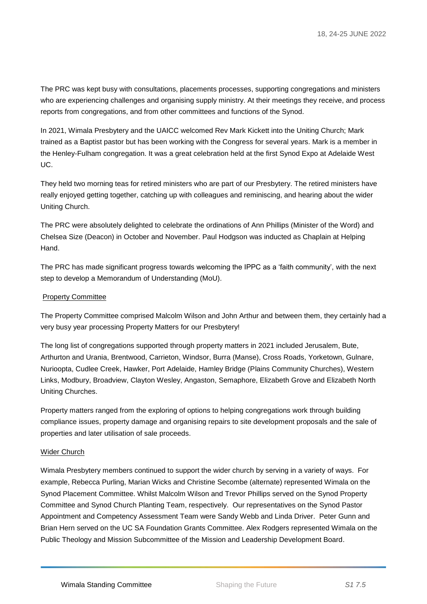The PRC was kept busy with consultations, placements processes, supporting congregations and ministers who are experiencing challenges and organising supply ministry. At their meetings they receive, and process reports from congregations, and from other committees and functions of the Synod.

In 2021, Wimala Presbytery and the UAICC welcomed Rev Mark Kickett into the Uniting Church; Mark trained as a Baptist pastor but has been working with the Congress for several years. Mark is a member in the Henley-Fulham congregation. It was a great celebration held at the first Synod Expo at Adelaide West UC.

They held two morning teas for retired ministers who are part of our Presbytery. The retired ministers have really enjoyed getting together, catching up with colleagues and reminiscing, and hearing about the wider Uniting Church.

The PRC were absolutely delighted to celebrate the ordinations of Ann Phillips (Minister of the Word) and Chelsea Size (Deacon) in October and November. Paul Hodgson was inducted as Chaplain at Helping Hand.

The PRC has made significant progress towards welcoming the IPPC as a 'faith community', with the next step to develop a Memorandum of Understanding (MoU).

#### Property Committee

The Property Committee comprised Malcolm Wilson and John Arthur and between them, they certainly had a very busy year processing Property Matters for our Presbytery!

The long list of congregations supported through property matters in 2021 included Jerusalem, Bute, Arthurton and Urania, Brentwood, Carrieton, Windsor, Burra (Manse), Cross Roads, Yorketown, Gulnare, Nurioopta, Cudlee Creek, Hawker, Port Adelaide, Hamley Bridge (Plains Community Churches), Western Links, Modbury, Broadview, Clayton Wesley, Angaston, Semaphore, Elizabeth Grove and Elizabeth North Uniting Churches.

Property matters ranged from the exploring of options to helping congregations work through building compliance issues, property damage and organising repairs to site development proposals and the sale of properties and later utilisation of sale proceeds.

#### Wider Church

Wimala Presbytery members continued to support the wider church by serving in a variety of ways. For example, Rebecca Purling, Marian Wicks and Christine Secombe (alternate) represented Wimala on the Synod Placement Committee. Whilst Malcolm Wilson and Trevor Phillips served on the Synod Property Committee and Synod Church Planting Team, respectively. Our representatives on the Synod Pastor Appointment and Competency Assessment Team were Sandy Webb and Linda Driver. Peter Gunn and Brian Hern served on the UC SA Foundation Grants Committee. Alex Rodgers represented Wimala on the Public Theology and Mission Subcommittee of the Mission and Leadership Development Board.